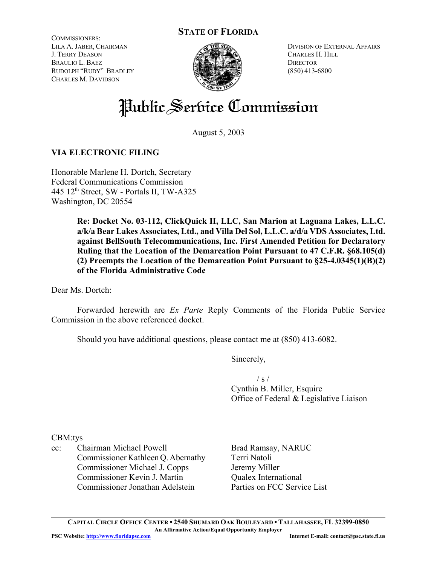## **STATE OF FLORIDA**

COMMISSIONERS: LILA A. JABER, CHAIRMAN J. TERRY DEASON BRAULIO L. BAEZ RUDOLPH "RUDY" BRADLEY CHARLES M. DAVIDSON



DIVISION OF EXTERNAL AFFAIRS CHARLES H. HILL **DIRECTOR** (850) 413-6800

# Public Service Commission

August 5, 2003

## **VIA ELECTRONIC FILING**

Honorable Marlene H. Dortch, Secretary Federal Communications Commission 445 12<sup>th</sup> Street, SW - Portals II, TW-A325 Washington, DC 20554

> **Re: Docket No. 03-112, ClickQuick II, LLC, San Marion at Laguana Lakes, L.L.C. a/k/a Bear Lakes Associates, Ltd., and Villa Del Sol, L.L.C. a/d/a VDS Associates, Ltd. against BellSouth Telecommunications, Inc. First Amended Petition for Declaratory Ruling that the Location of the Demarcation Point Pursuant to 47 C.F.R. §68.105(d) (2) Preempts the Location of the Demarcation Point Pursuant to §25-4.0345(1)(B)(2) of the Florida Administrative Code**

Dear Ms. Dortch:

Forwarded herewith are *Ex Parte* Reply Comments of the Florida Public Service Commission in the above referenced docket.

Should you have additional questions, please contact me at (850) 413-6082.

Sincerely,

 $/ s /$ 

Cynthia B. Miller, Esquire Office of Federal & Legislative Liaison

CBM:tys

cc: Chairman Michael Powell Commissioner Kathleen Q. Abernathy Commissioner Michael J. Copps Commissioner Kevin J. Martin Commissioner Jonathan Adelstein

Brad Ramsay, NARUC Terri Natoli Jeremy Miller Qualex International Parties on FCC Service List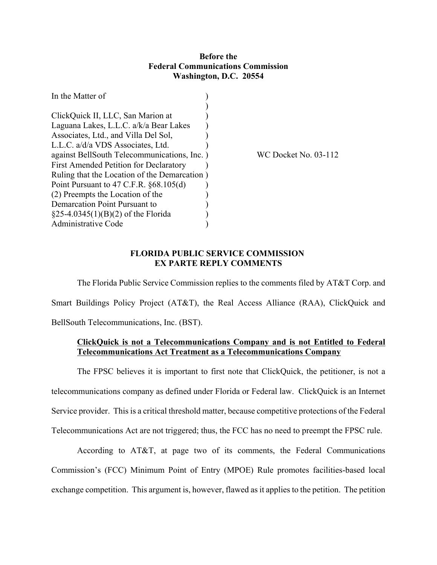### **Before the Federal Communications Commission Washington, D.C. 20554**

| In the Matter of                              |                      |
|-----------------------------------------------|----------------------|
|                                               |                      |
| ClickQuick II, LLC, San Marion at             |                      |
| Laguana Lakes, L.L.C. a/k/a Bear Lakes        |                      |
| Associates, Ltd., and Villa Del Sol,          |                      |
| L.L.C. a/d/a VDS Associates, Ltd.             |                      |
| against BellSouth Telecommunications, Inc. )  | WC Docket No. 03-112 |
| <b>First Amended Petition for Declaratory</b> |                      |
| Ruling that the Location of the Demarcation)  |                      |
| Point Pursuant to 47 C.F.R. §68.105(d)        |                      |
| (2) Preempts the Location of the              |                      |
| Demarcation Point Pursuant to                 |                      |
| $\S$ 25-4.0345(1)(B)(2) of the Florida        |                      |
| Administrative Code                           |                      |

### **FLORIDA PUBLIC SERVICE COMMISSION EX PARTE REPLY COMMENTS**

The Florida Public Service Commission replies to the comments filed by AT&T Corp. and Smart Buildings Policy Project (AT&T), the Real Access Alliance (RAA), ClickQuick and BellSouth Telecommunications, Inc. (BST).

## **ClickQuick is not a Telecommunications Company and is not Entitled to Federal Telecommunications Act Treatment as a Telecommunications Company**

The FPSC believes it is important to first note that ClickQuick, the petitioner, is not a telecommunications company as defined under Florida or Federal law. ClickQuick is an Internet Service provider. This is a critical threshold matter, because competitive protections of the Federal Telecommunications Act are not triggered; thus, the FCC has no need to preempt the FPSC rule.

According to AT&T, at page two of its comments, the Federal Communications Commission's (FCC) Minimum Point of Entry (MPOE) Rule promotes facilities-based local exchange competition. This argument is, however, flawed as it applies to the petition. The petition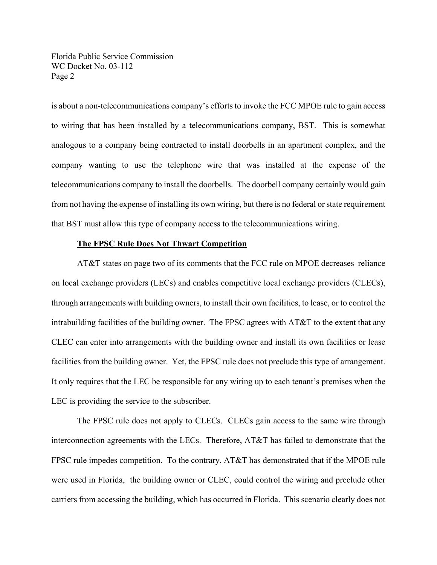is about a non-telecommunications company's efforts to invoke the FCC MPOE rule to gain access to wiring that has been installed by a telecommunications company, BST. This is somewhat analogous to a company being contracted to install doorbells in an apartment complex, and the company wanting to use the telephone wire that was installed at the expense of the telecommunications company to install the doorbells. The doorbell company certainly would gain from not having the expense of installing its own wiring, but there is no federal or state requirement that BST must allow this type of company access to the telecommunications wiring.

#### **The FPSC Rule Does Not Thwart Competition**

AT&T states on page two of its comments that the FCC rule on MPOE decreases reliance on local exchange providers (LECs) and enables competitive local exchange providers (CLECs), through arrangements with building owners, to install their own facilities, to lease, or to control the intrabuilding facilities of the building owner. The FPSC agrees with  $AT&T$  to the extent that any CLEC can enter into arrangements with the building owner and install its own facilities or lease facilities from the building owner. Yet, the FPSC rule does not preclude this type of arrangement. It only requires that the LEC be responsible for any wiring up to each tenant's premises when the LEC is providing the service to the subscriber.

The FPSC rule does not apply to CLECs. CLECs gain access to the same wire through interconnection agreements with the LECs. Therefore, AT&T has failed to demonstrate that the FPSC rule impedes competition. To the contrary, AT&T has demonstrated that if the MPOE rule were used in Florida, the building owner or CLEC, could control the wiring and preclude other carriers from accessing the building, which has occurred in Florida. This scenario clearly does not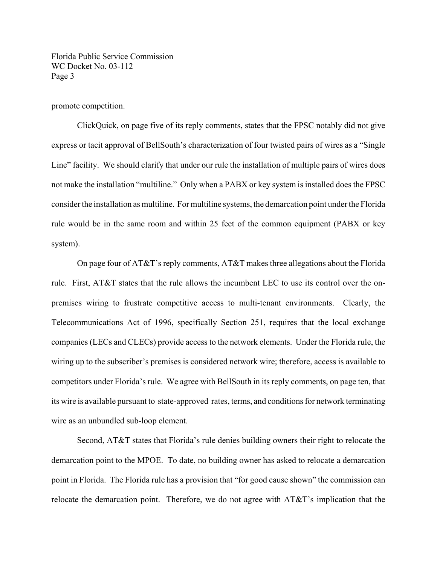promote competition.

ClickQuick, on page five of its reply comments, states that the FPSC notably did not give express or tacit approval of BellSouth's characterization of four twisted pairs of wires as a "Single Line" facility. We should clarify that under our rule the installation of multiple pairs of wires does not make the installation "multiline." Only when a PABX or key system is installed does the FPSC consider the installation as multiline. For multiline systems, the demarcation point under the Florida rule would be in the same room and within 25 feet of the common equipment (PABX or key system).

On page four of AT&T's reply comments, AT&T makes three allegations about the Florida rule. First, AT&T states that the rule allows the incumbent LEC to use its control over the onpremises wiring to frustrate competitive access to multi-tenant environments. Clearly, the Telecommunications Act of 1996, specifically Section 251, requires that the local exchange companies (LECs and CLECs) provide access to the network elements. Under the Florida rule, the wiring up to the subscriber's premises is considered network wire; therefore, access is available to competitors under Florida's rule. We agree with BellSouth in its reply comments, on page ten, that its wire is available pursuant to state-approved rates, terms, and conditions for network terminating wire as an unbundled sub-loop element.

Second, AT&T states that Florida's rule denies building owners their right to relocate the demarcation point to the MPOE. To date, no building owner has asked to relocate a demarcation point in Florida. The Florida rule has a provision that "for good cause shown" the commission can relocate the demarcation point. Therefore, we do not agree with AT&T's implication that the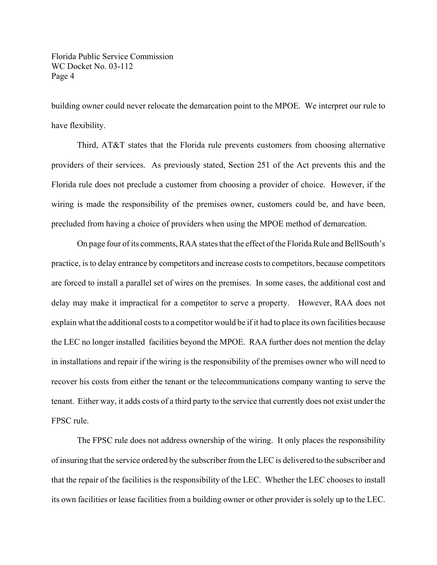building owner could never relocate the demarcation point to the MPOE. We interpret our rule to have flexibility.

Third, AT&T states that the Florida rule prevents customers from choosing alternative providers of their services. As previously stated, Section 251 of the Act prevents this and the Florida rule does not preclude a customer from choosing a provider of choice. However, if the wiring is made the responsibility of the premises owner, customers could be, and have been, precluded from having a choice of providers when using the MPOE method of demarcation.

On page four of its comments, RAA states that the effect of the Florida Rule and BellSouth's practice, is to delay entrance by competitors and increase costs to competitors, because competitors are forced to install a parallel set of wires on the premises. In some cases, the additional cost and delay may make it impractical for a competitor to serve a property. However, RAA does not explain what the additional costs to a competitor would be if it had to place its own facilities because the LEC no longer installed facilities beyond the MPOE. RAA further does not mention the delay in installations and repair if the wiring is the responsibility of the premises owner who will need to recover his costs from either the tenant or the telecommunications company wanting to serve the tenant. Either way, it adds costs of a third party to the service that currently does not exist under the FPSC rule.

The FPSC rule does not address ownership of the wiring. It only places the responsibility of insuring that the service ordered by the subscriber from the LEC is delivered to the subscriber and that the repair of the facilities is the responsibility of the LEC. Whether the LEC chooses to install its own facilities or lease facilities from a building owner or other provider is solely up to the LEC.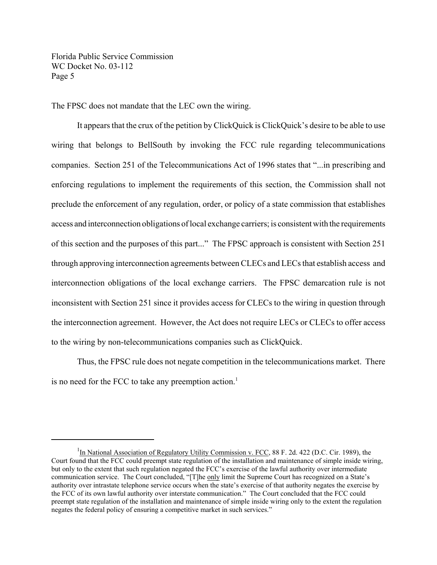The FPSC does not mandate that the LEC own the wiring.

It appears that the crux of the petition by ClickQuick is ClickQuick's desire to be able to use wiring that belongs to BellSouth by invoking the FCC rule regarding telecommunications companies. Section 251 of the Telecommunications Act of 1996 states that "...in prescribing and enforcing regulations to implement the requirements of this section, the Commission shall not preclude the enforcement of any regulation, order, or policy of a state commission that establishes access and interconnection obligations of local exchange carriers; is consistent with the requirements of this section and the purposes of this part..." The FPSC approach is consistent with Section 251 through approving interconnection agreements between CLECs and LECs that establish access and interconnection obligations of the local exchange carriers. The FPSC demarcation rule is not inconsistent with Section 251 since it provides access for CLECs to the wiring in question through the interconnection agreement. However, the Act does not require LECs or CLECs to offer access to the wiring by non-telecommunications companies such as ClickQuick.

Thus, the FPSC rule does not negate competition in the telecommunications market. There is no need for the FCC to take any preemption action.<sup>1</sup>

<sup>&</sup>lt;sup>1</sup>In National Association of Regulatory Utility Commission v. FCC, 88 F. 2d. 422 (D.C. Cir. 1989), the Court found that the FCC could preempt state regulation of the installation and maintenance of simple inside wiring, but only to the extent that such regulation negated the FCC's exercise of the lawful authority over intermediate communication service. The Court concluded, "[T]he only limit the Supreme Court has recognized on a State's authority over intrastate telephone service occurs when the state's exercise of that authority negates the exercise by the FCC of its own lawful authority over interstate communication." The Court concluded that the FCC could preempt state regulation of the installation and maintenance of simple inside wiring only to the extent the regulation negates the federal policy of ensuring a competitive market in such services."